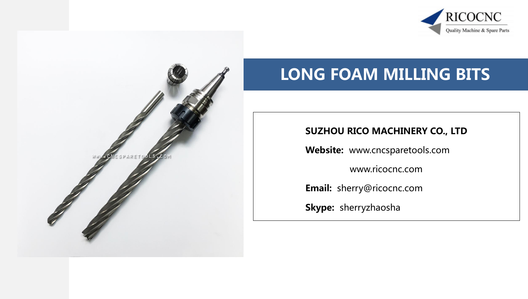



# LONG FOAM MILLING BITS

#### SUZHOU RICO MACHINERY CO., LTD

Website: www.cncsparetools.com

www.ricocnc.com

Email: sherry@ricocnc.com

Skype: sherryzhaosha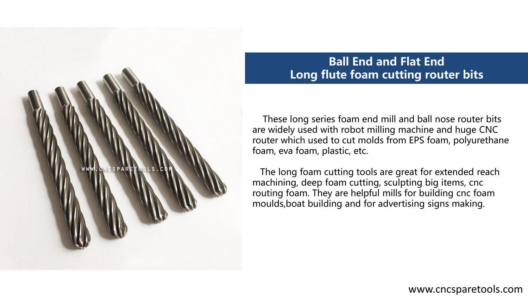

## Ball End and Flat End Long flute foam cutting router bits

 These long series foam end mill and ball nose router bits are widely used with robot milling machine and huge CNC router which used to cut molds from EPS foam, polyurethane foam, eva foam, plastic, etc.

 The long foam cutting tools are great for extended reach machining, deep foam cutting, sculpting big items, cnc routing foam. They are helpful mills for building cnc foam moulds,boat building and for advertising signs making.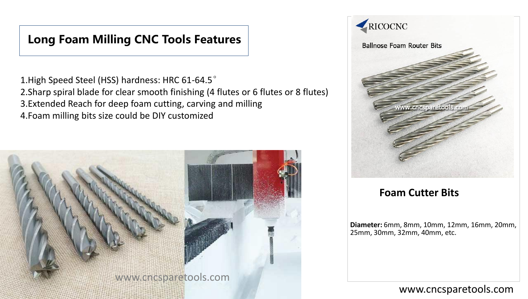## Long Foam Milling CNC Tools Features

1.High Speed Steel (HSS) hardness: HRC 61-64.5° 2.Sharp spiral blade for clear smooth finishing (4 flutes or 6 flutes or 8 flutes) 3.Extended Reach for deep foam cutting, carving and milling 4.Foam milling bits size could be DIY customized





#### **Foam Cutter Bits**

**Diameter:** 6mm, 8mm, 10mm, 12mm, 16mm, 20mm, 25mm, 30mm, 32mm, 40mm, etc.

#### www.cncsparetools.com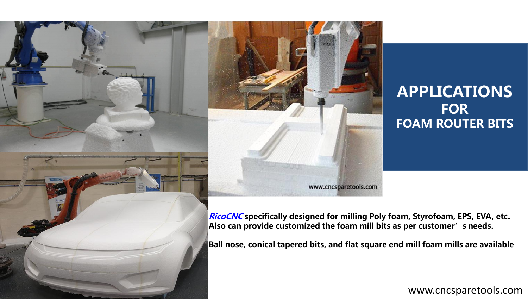

# APPLICATIONS **FOR** FOAM ROUTER BITS

www.cncsparetools.com

**[RicoCNC](https://www.ricocnc.com/)** specifically designed for milling Poly foam, Styrofoam, EPS, EVA, etc. Also can provide customized the foam mill bits as per customer's needs.

Ball nose, conical tapered bits, and flat square end mill foam mills are available

www.cncsparetools.com